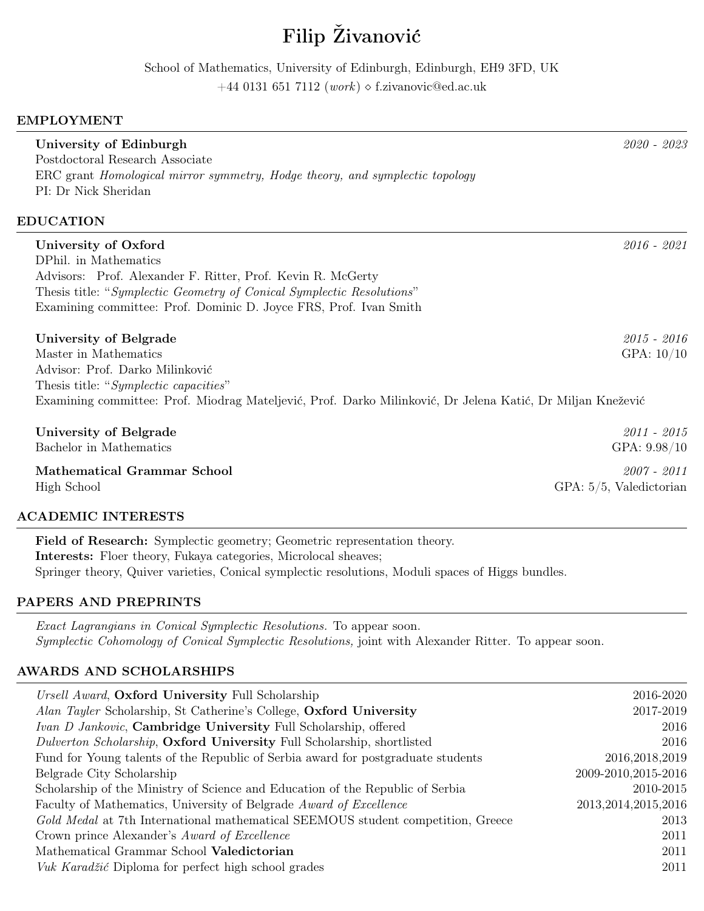# Filip Živanović

School of Mathematics, University of Edinburgh, Edinburgh, EH9 3FD, UK

+44 0131 651 7112 (work)  $\Diamond$  f.zivanovic@ed.ac.uk

# EMPLOYMENT

| University of Edinburgh<br>Postdoctoral Research Associate<br>ERC grant <i>Homological mirror symmetry, Hodge theory, and symplectic topology</i><br>PI: Dr Nick Sheridan | 2020 - 2023                |
|---------------------------------------------------------------------------------------------------------------------------------------------------------------------------|----------------------------|
| <b>EDUCATION</b>                                                                                                                                                          |                            |
| University of Oxford                                                                                                                                                      | $2016 - 2021$              |
| DPhil. in Mathematics                                                                                                                                                     |                            |
| Advisors: Prof. Alexander F. Ritter, Prof. Kevin R. McGerty                                                                                                               |                            |
| Thesis title: "Symplectic Geometry of Conical Symplectic Resolutions"                                                                                                     |                            |
| Examining committee: Prof. Dominic D. Joyce FRS, Prof. Ivan Smith                                                                                                         |                            |
| University of Belgrade                                                                                                                                                    | $2015 - 2016$              |
| Master in Mathematics                                                                                                                                                     | GPA: $10/10$               |
| Advisor: Prof. Darko Milinković                                                                                                                                           |                            |
| Thesis title: "Symplectic capacities"                                                                                                                                     |                            |
| Examining committee: Prof. Miodrag Mateljević, Prof. Darko Milinković, Dr Jelena Katić, Dr Miljan Knežević                                                                |                            |
| University of Belgrade                                                                                                                                                    | $2011 - 2015$              |
| Bachelor in Mathematics                                                                                                                                                   | GPA: 9.98/10               |
| <b>Mathematical Grammar School</b>                                                                                                                                        | $2007 - 2011$              |
| High School                                                                                                                                                               | $GPA: 5/5$ , Valedictorian |

# ACADEMIC INTERESTS

Field of Research: Symplectic geometry; Geometric representation theory. Interests: Floer theory, Fukaya categories, Microlocal sheaves; Springer theory, Quiver varieties, Conical symplectic resolutions, Moduli spaces of Higgs bundles.

# PAPERS AND PREPRINTS

Exact Lagrangians in Conical Symplectic Resolutions. To appear soon. Symplectic Cohomology of Conical Symplectic Resolutions, joint with Alexander Ritter. To appear soon.

# AWARDS AND SCHOLARSHIPS

| Ursell Award, Oxford University Full Scholarship                                 | 2016-2020              |
|----------------------------------------------------------------------------------|------------------------|
| Alan Tayler Scholarship, St Catherine's College, Oxford University               | 2017-2019              |
| Ivan D Jankovic, Cambridge University Full Scholarship, offered                  | 2016                   |
| Dulverton Scholarship, Oxford University Full Scholarship, shortlisted           | 2016                   |
| Fund for Young talents of the Republic of Serbia award for postgraduate students | 2016, 2018, 2019       |
| Belgrade City Scholarship                                                        | 2009-2010, 2015-2016   |
| Scholarship of the Ministry of Science and Education of the Republic of Serbia   | 2010-2015              |
| Faculty of Mathematics, University of Belgrade Award of Excellence               | 2013, 2014, 2015, 2016 |
| Gold Medal at 7th International mathematical SEEMOUS student competition, Greece | 2013                   |
| Crown prince Alexander's Award of Excellence                                     | 2011                   |
| Mathematical Grammar School Valedictorian                                        | 2011                   |
| Vuk Karadžić Diploma for perfect high school grades                              | 2011                   |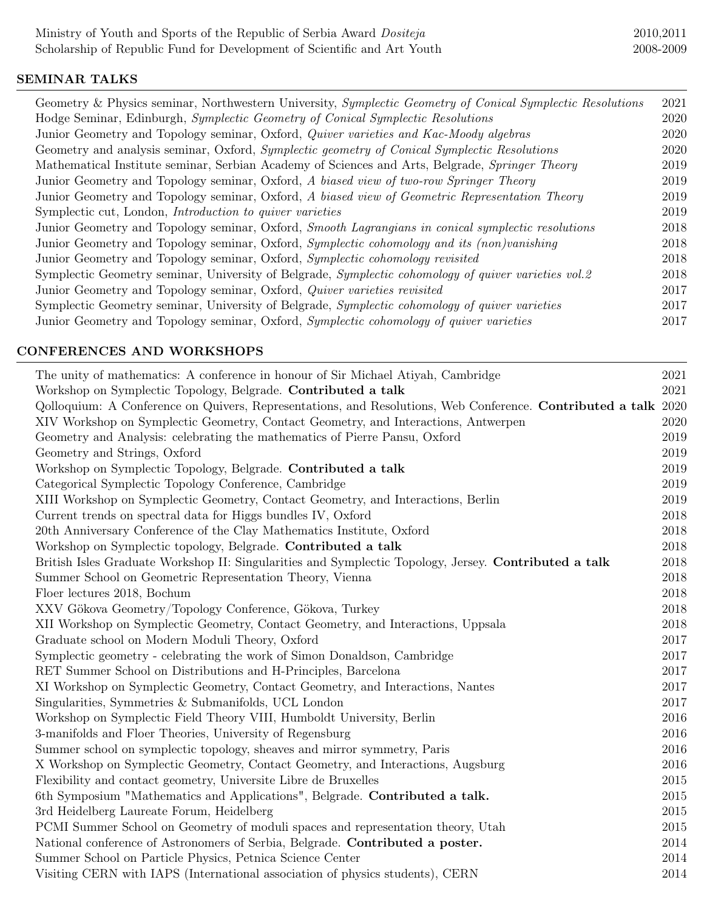# SEMINAR TALKS

| Geometry & Physics seminar, Northwestern University, Symplectic Geometry of Conical Symplectic Resolutions | 2021 |
|------------------------------------------------------------------------------------------------------------|------|
| Hodge Seminar, Edinburgh, Symplectic Geometry of Conical Symplectic Resolutions                            | 2020 |
| Junior Geometry and Topology seminar, Oxford, Quiver varieties and Kac-Moody algebras                      | 2020 |
| Geometry and analysis seminar, Oxford, Symplectic geometry of Conical Symplectic Resolutions               | 2020 |
| Mathematical Institute seminar, Serbian Academy of Sciences and Arts, Belgrade, Springer Theory            | 2019 |
| Junior Geometry and Topology seminar, Oxford, A biased view of two-row Springer Theory                     | 2019 |
| Junior Geometry and Topology seminar, Oxford, A biased view of Geometric Representation Theory             | 2019 |
| Symplectic cut, London, <i>Introduction to quiver varieties</i>                                            | 2019 |
| Junior Geometry and Topology seminar, Oxford, Smooth Lagrangians in conical symplectic resolutions         | 2018 |
| Junior Geometry and Topology seminar, Oxford, Symplectic cohomology and its (non)vanishing                 | 2018 |
| Junior Geometry and Topology seminar, Oxford, Symplectic cohomology revisited                              | 2018 |
| Symplectic Geometry seminar, University of Belgrade, Symplectic cohomology of quiver varieties vol.2       | 2018 |
| Junior Geometry and Topology seminar, Oxford, Quiver varieties revisited                                   | 2017 |
| Symplectic Geometry seminar, University of Belgrade, Symplectic cohomology of quiver varieties             | 2017 |
| Junior Geometry and Topology seminar, Oxford, Symplectic cohomology of quiver varieties                    | 2017 |
|                                                                                                            |      |

# CONFERENCES AND WORKSHOPS

| The unity of mathematics: A conference in honour of Sir Michael Atiyah, Cambridge                              | 2021 |
|----------------------------------------------------------------------------------------------------------------|------|
| Workshop on Symplectic Topology, Belgrade. Contributed a talk                                                  | 2021 |
| Qolloquium: A Conference on Quivers, Representations, and Resolutions, Web Conference. Contributed a talk 2020 |      |
| XIV Workshop on Symplectic Geometry, Contact Geometry, and Interactions, Antwerpen                             | 2020 |
| Geometry and Analysis: celebrating the mathematics of Pierre Pansu, Oxford                                     | 2019 |
| Geometry and Strings, Oxford                                                                                   | 2019 |
| Workshop on Symplectic Topology, Belgrade. Contributed a talk                                                  | 2019 |
| Categorical Symplectic Topology Conference, Cambridge                                                          | 2019 |
| XIII Workshop on Symplectic Geometry, Contact Geometry, and Interactions, Berlin                               | 2019 |
| Current trends on spectral data for Higgs bundles IV, Oxford                                                   | 2018 |
| 20th Anniversary Conference of the Clay Mathematics Institute, Oxford                                          | 2018 |
| Workshop on Symplectic topology, Belgrade. Contributed a talk                                                  | 2018 |
| British Isles Graduate Workshop II: Singularities and Symplectic Topology, Jersey. Contributed a talk          | 2018 |
| Summer School on Geometric Representation Theory, Vienna                                                       | 2018 |
| Floer lectures 2018, Bochum                                                                                    | 2018 |
| XXV Gökova Geometry/Topology Conference, Gökova, Turkey                                                        | 2018 |
| XII Workshop on Symplectic Geometry, Contact Geometry, and Interactions, Uppsala                               | 2018 |
| Graduate school on Modern Moduli Theory, Oxford                                                                | 2017 |
| Symplectic geometry - celebrating the work of Simon Donaldson, Cambridge                                       | 2017 |
| RET Summer School on Distributions and H-Principles, Barcelona                                                 | 2017 |
| XI Workshop on Symplectic Geometry, Contact Geometry, and Interactions, Nantes                                 | 2017 |
| Singularities, Symmetries & Submanifolds, UCL London                                                           | 2017 |
| Workshop on Symplectic Field Theory VIII, Humboldt University, Berlin                                          | 2016 |
| 3-manifolds and Floer Theories, University of Regensburg                                                       | 2016 |
| Summer school on symplectic topology, sheaves and mirror symmetry, Paris                                       | 2016 |
| X Workshop on Symplectic Geometry, Contact Geometry, and Interactions, Augsburg                                | 2016 |
| Flexibility and contact geometry, Universite Libre de Bruxelles                                                | 2015 |
| 6th Symposium "Mathematics and Applications", Belgrade. Contributed a talk.                                    | 2015 |
| 3rd Heidelberg Laureate Forum, Heidelberg                                                                      | 2015 |
| PCMI Summer School on Geometry of moduli spaces and representation theory, Utah                                | 2015 |
| National conference of Astronomers of Serbia, Belgrade. Contributed a poster.                                  | 2014 |
| Summer School on Particle Physics, Petnica Science Center                                                      | 2014 |
| Visiting CERN with IAPS (International association of physics students), CERN                                  | 2014 |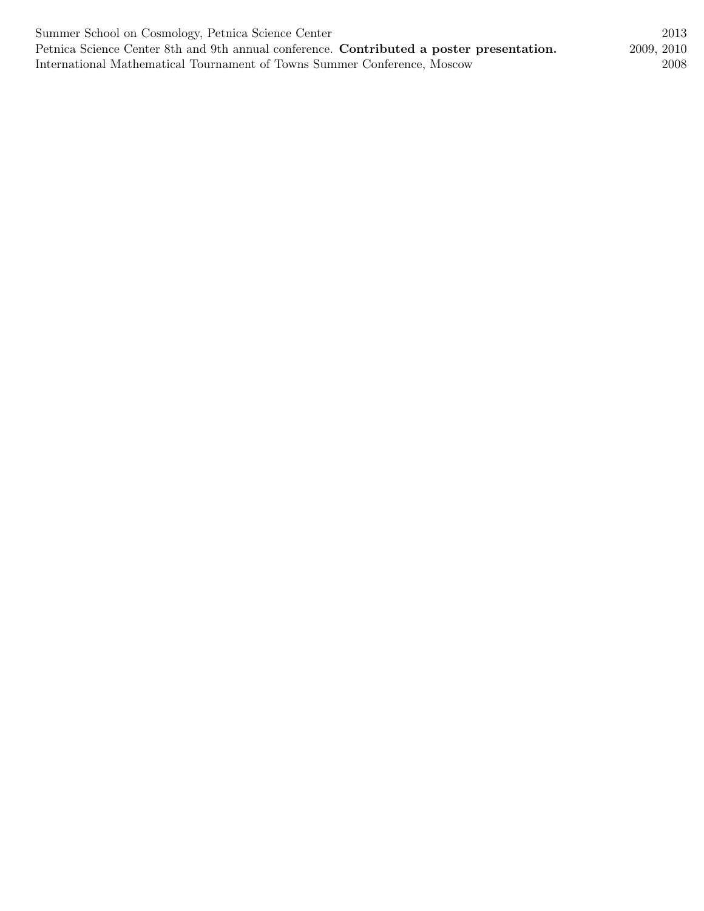| Summer School on Cosmology, Petnica Science Center                                       | 2013       |
|------------------------------------------------------------------------------------------|------------|
| Petnica Science Center 8th and 9th annual conference. Contributed a poster presentation. | 2009, 2010 |
| International Mathematical Tournament of Towns Summer Conference, Moscow                 | 2008       |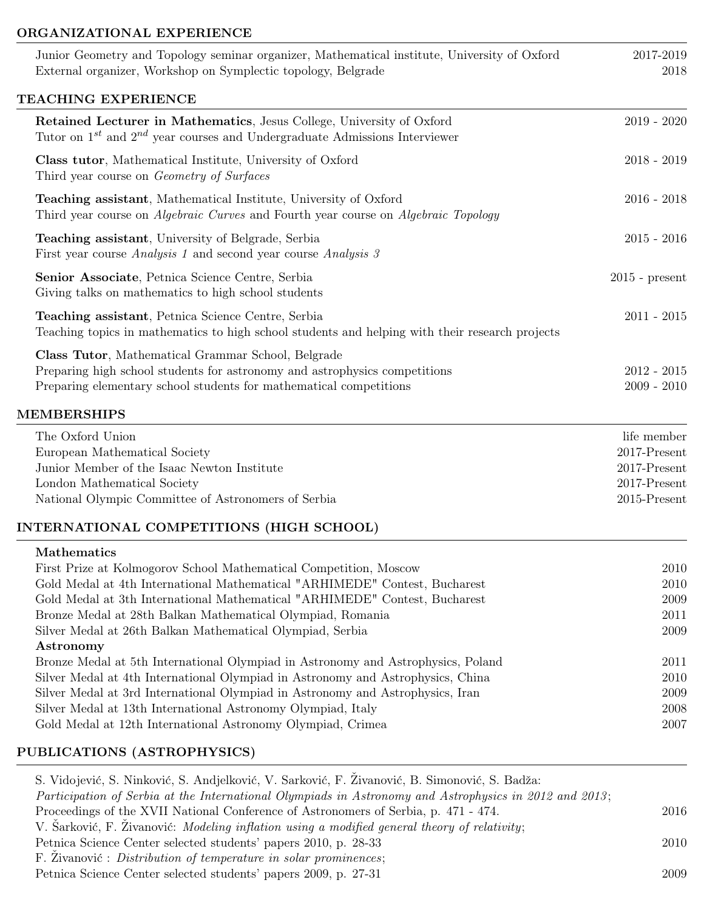### ORGANIZATIONAL EXPERIENCE

| Junior Geometry and Topology seminar organizer, Mathematical institute, University of Oxford<br>External organizer, Workshop on Symplectic topology, Belgrade                                                                                                                                                                                                                                                                                                                                                                                                                                                                                                                                                                                                                       | 2017-2019<br>2018                                                              |
|-------------------------------------------------------------------------------------------------------------------------------------------------------------------------------------------------------------------------------------------------------------------------------------------------------------------------------------------------------------------------------------------------------------------------------------------------------------------------------------------------------------------------------------------------------------------------------------------------------------------------------------------------------------------------------------------------------------------------------------------------------------------------------------|--------------------------------------------------------------------------------|
| TEACHING EXPERIENCE                                                                                                                                                                                                                                                                                                                                                                                                                                                                                                                                                                                                                                                                                                                                                                 |                                                                                |
| Retained Lecturer in Mathematics, Jesus College, University of Oxford<br>Tutor on $1^{st}$ and $2^{nd}$ year courses and Undergraduate Admissions Interviewer                                                                                                                                                                                                                                                                                                                                                                                                                                                                                                                                                                                                                       | $2019 - 2020$                                                                  |
| Class tutor, Mathematical Institute, University of Oxford<br>Third year course on <i>Geometry of Surfaces</i>                                                                                                                                                                                                                                                                                                                                                                                                                                                                                                                                                                                                                                                                       | $2018 - 2019$                                                                  |
| <b>Teaching assistant</b> , Mathematical Institute, University of Oxford<br>Third year course on <i>Algebraic Curves</i> and Fourth year course on <i>Algebraic Topology</i>                                                                                                                                                                                                                                                                                                                                                                                                                                                                                                                                                                                                        | $2016 - 2018$                                                                  |
| Teaching assistant, University of Belgrade, Serbia<br>First year course <i>Analysis 1</i> and second year course <i>Analysis 3</i>                                                                                                                                                                                                                                                                                                                                                                                                                                                                                                                                                                                                                                                  | $2015 - 2016$                                                                  |
| Senior Associate, Petnica Science Centre, Serbia<br>Giving talks on mathematics to high school students                                                                                                                                                                                                                                                                                                                                                                                                                                                                                                                                                                                                                                                                             | $2015$ - present                                                               |
| Teaching assistant, Petnica Science Centre, Serbia<br>Teaching topics in mathematics to high school students and helping with their research projects                                                                                                                                                                                                                                                                                                                                                                                                                                                                                                                                                                                                                               | $2011 - 2015$                                                                  |
| Class Tutor, Mathematical Grammar School, Belgrade<br>Preparing high school students for astronomy and astrophysics competitions<br>Preparing elementary school students for mathematical competitions                                                                                                                                                                                                                                                                                                                                                                                                                                                                                                                                                                              | $2012 - 2015$<br>$2009 - 2010$                                                 |
| <b>MEMBERSHIPS</b>                                                                                                                                                                                                                                                                                                                                                                                                                                                                                                                                                                                                                                                                                                                                                                  |                                                                                |
| The Oxford Union<br>European Mathematical Society<br>Junior Member of the Isaac Newton Institute<br>London Mathematical Society<br>National Olympic Committee of Astronomers of Serbia                                                                                                                                                                                                                                                                                                                                                                                                                                                                                                                                                                                              | life member<br>2017-Present<br>2017-Present<br>2017-Present<br>$2015$ -Present |
| <b>INTERNATIONAL COMPETITIONS (HIGH SCHOOL)</b>                                                                                                                                                                                                                                                                                                                                                                                                                                                                                                                                                                                                                                                                                                                                     |                                                                                |
| <b>Mathematics</b><br>First Prize at Kolmogorov School Mathematical Competition, Moscow<br>Gold Medal at 4th International Mathematical "ARHIMEDE" Contest, Bucharest<br>Gold Medal at 3th International Mathematical "ARHIMEDE" Contest, Bucharest<br>Bronze Medal at 28th Balkan Mathematical Olympiad, Romania<br>Silver Medal at 26th Balkan Mathematical Olympiad, Serbia<br>Astronomy<br>Bronze Medal at 5th International Olympiad in Astronomy and Astrophysics, Poland<br>Silver Medal at 4th International Olympiad in Astronomy and Astrophysics, China<br>Silver Medal at 3rd International Olympiad in Astronomy and Astrophysics, Iran<br>Silver Medal at 13th International Astronomy Olympiad, Italy<br>Gold Medal at 12th International Astronomy Olympiad, Crimea | 2010<br>2010<br>2009<br>2011<br>2009<br>2011<br>2010<br>2009<br>2008<br>2007   |
| PUBLICATIONS (ASTROPHYSICS)                                                                                                                                                                                                                                                                                                                                                                                                                                                                                                                                                                                                                                                                                                                                                         |                                                                                |
|                                                                                                                                                                                                                                                                                                                                                                                                                                                                                                                                                                                                                                                                                                                                                                                     |                                                                                |

S. Vidojević, S. Ninković, S. Andjelković, V. Sarković, F. Živanović, B. Simonović, S. Badža: Participation of Serbia at the International Olympiads in Astronomy and Astrophysics in 2012 and 2013; Proceedings of the XVII National Conference of Astronomers of Serbia, p. 471 - 474. 2016 V. Šarković, F. Živanović: Modeling inflation using a modified general theory of relativity; Petnica Science Center selected students' papers 2010, p. 28-33 2010 F. Živanović : Distribution of temperature in solar prominences; Petnica Science Center selected students' papers 2009, p. 27-31 2009